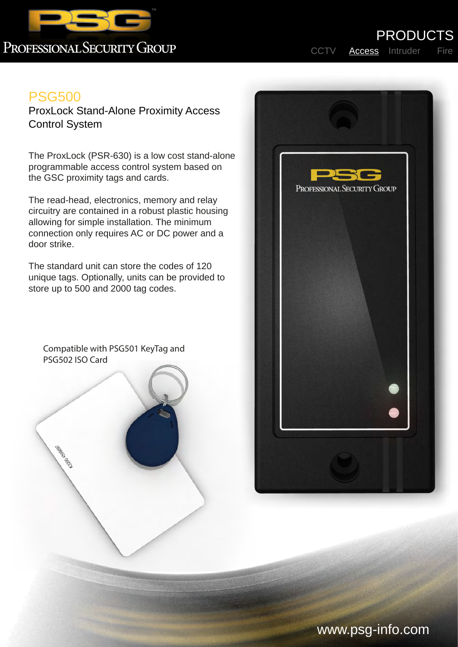

## PROFESSIONAL SECURITY GROUP

PRODUCTS

## PSG500

ProxLock Stand-Alone Proximity Access Control System

The ProxLock (PSR-630) is a low cost stand-alone programmable access control system based on the GSC proximity tags and cards.

The read-head, electronics, memory and relay circuitry are contained in a robust plastic housing allowing for simple installation. The minimum connection only requires AC or DC power and a door strike.

The standard unit can store the codes of 120 unique tags. Optionally, units can be provided to store up to 500 and 2000 tag codes.

Compatible with PSG501 KeyTag and PSG502 ISO Card

Legenda Base



## www.psg-info.com